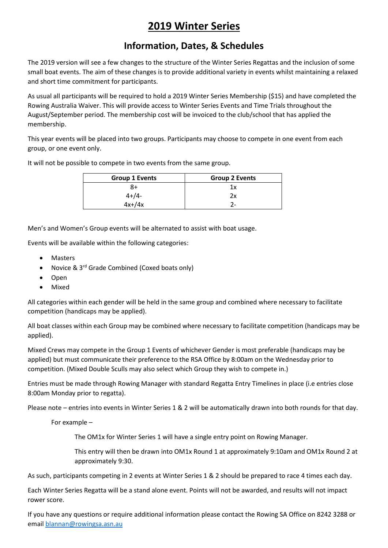# **2019 Winter Series**

#### **Information, Dates, & Schedules**

The 2019 version will see a few changes to the structure of the Winter Series Regattas and the inclusion of some small boat events. The aim of these changes is to provide additional variety in events whilst maintaining a relaxed and short time commitment for participants.

As usual all participants will be required to hold a 2019 Winter Series Membership (\$15) and have completed the Rowing Australia Waiver. This will provide access to Winter Series Events and Time Trials throughout the August/September period. The membership cost will be invoiced to the club/school that has applied the membership.

This year events will be placed into two groups. Participants may choose to compete in one event from each group, or one event only.

It will not be possible to compete in two events from the same group.

| <b>Group 1 Events</b> | <b>Group 2 Events</b> |
|-----------------------|-----------------------|
| 8+                    | 1 x                   |
| $4 + 4 -$             | 2х                    |
| $4x+74x$              | 7-                    |

Men's and Women's Group events will be alternated to assist with boat usage.

Events will be available within the following categories:

- **Masters**
- Novice & 3<sup>rd</sup> Grade Combined (Coxed boats only)
- Open
- Mixed

All categories within each gender will be held in the same group and combined where necessary to facilitate competition (handicaps may be applied).

All boat classes within each Group may be combined where necessary to facilitate competition (handicaps may be applied).

Mixed Crews may compete in the Group 1 Events of whichever Gender is most preferable (handicaps may be applied) but must communicate their preference to the RSA Office by 8:00am on the Wednesday prior to competition. (Mixed Double Sculls may also select which Group they wish to compete in.)

Entries must be made through Rowing Manager with standard Regatta Entry Timelines in place (i.e entries close 8:00am Monday prior to regatta).

Please note – entries into events in Winter Series 1 & 2 will be automatically drawn into both rounds for that day.

For example –

The OM1x for Winter Series 1 will have a single entry point on Rowing Manager.

This entry will then be drawn into OM1x Round 1 at approximately 9:10am and OM1x Round 2 at approximately 9:30.

As such, participants competing in 2 events at Winter Series 1 & 2 should be prepared to race 4 times each day.

Each Winter Series Regatta will be a stand alone event. Points will not be awarded, and results will not impact rower score.

If you have any questions or require additional information please contact the Rowing SA Office on 8242 3288 or emai[l blannan@rowingsa.asn.au](mailto:blannan@rowingsa.asn.au)